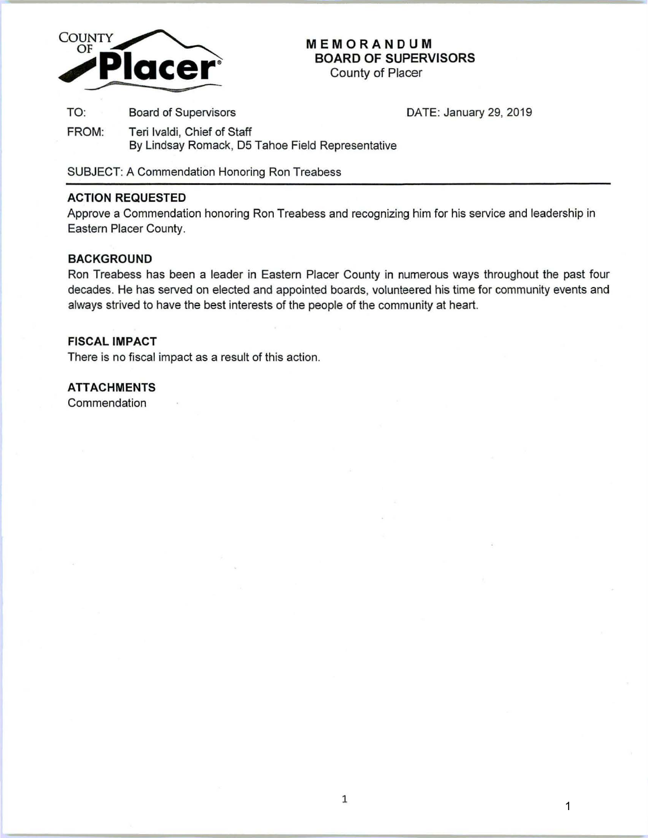

# **MEMORANDUM BOARD OF SUPERVISORS**

County of Placer

TO: Board of Supervisors **DATE: January 29, 2019** 

FROM: Teri lvaldi, Chief of Staff By Lindsay Romack, 05 Tahoe Field Representative

SUBJECT: A Commendation Honoring Ron Treabess

### **ACTION REQUESTED**

Approve a Commendation honoring Ron Treabess and recognizing him for his service and leadership in Eastern Placer County.

## **BACKGROUND**

Ron Treabess has been a leader in Eastern Placer County in numerous ways throughout the past four decades. He has served on elected and appointed boards, volunteered his time for community events and always strived to have the best interests of the people of the community at heart.

#### **FISCAL IMPACT**

There is no fiscal impact as a result of this action.

# **ATTACHMENTS**

Commendation

1